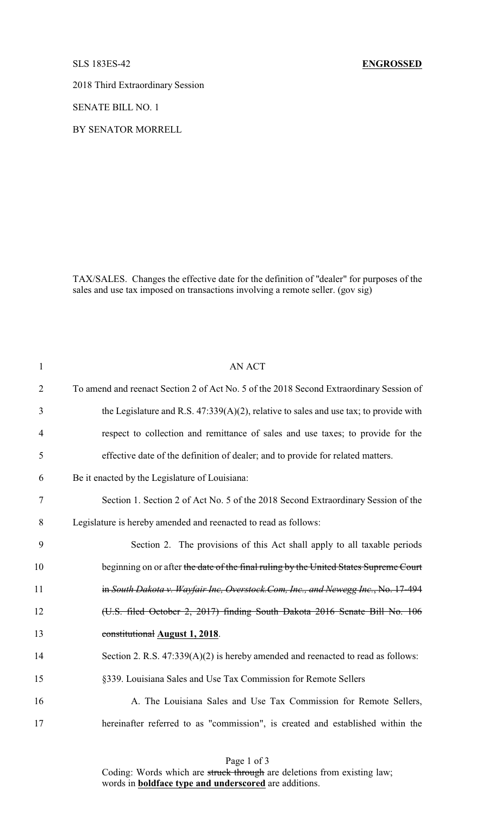2018 Third Extraordinary Session

SENATE BILL NO. 1

BY SENATOR MORRELL

TAX/SALES. Changes the effective date for the definition of "dealer" for purposes of the sales and use tax imposed on transactions involving a remote seller. (gov sig)

| $\mathbf{1}$   | <b>AN ACT</b>                                                                            |
|----------------|------------------------------------------------------------------------------------------|
| $\overline{2}$ | To amend and reenact Section 2 of Act No. 5 of the 2018 Second Extraordinary Session of  |
| 3              | the Legislature and R.S. $47:339(A)(2)$ , relative to sales and use tax; to provide with |
| $\overline{4}$ | respect to collection and remittance of sales and use taxes; to provide for the          |
| 5              | effective date of the definition of dealer; and to provide for related matters.          |
| 6              | Be it enacted by the Legislature of Louisiana:                                           |
| 7              | Section 1. Section 2 of Act No. 5 of the 2018 Second Extraordinary Session of the        |
| 8              | Legislature is hereby amended and reenacted to read as follows:                          |
| 9              | Section 2. The provisions of this Act shall apply to all taxable periods                 |
| 10             | beginning on or after the date of the final ruling by the United States Supreme Court    |
| 11             | in South Dakota v. Wayfair Inc, Overstock.Com, Inc., and Newegg Inc., No. 17-494         |
| 12             | (U.S. filed October 2, 2017) finding South Dakota 2016 Senate Bill No. 106               |
| 13             | constitutional August 1, 2018.                                                           |
| 14             | Section 2. R.S. 47:339(A)(2) is hereby amended and reenacted to read as follows:         |
| 15             | §339. Louisiana Sales and Use Tax Commission for Remote Sellers                          |
| 16             | A. The Louisiana Sales and Use Tax Commission for Remote Sellers,                        |
| 17             | hereinafter referred to as "commission", is created and established within the           |

Page 1 of 3

Coding: Words which are struck through are deletions from existing law; words in **boldface type and underscored** are additions.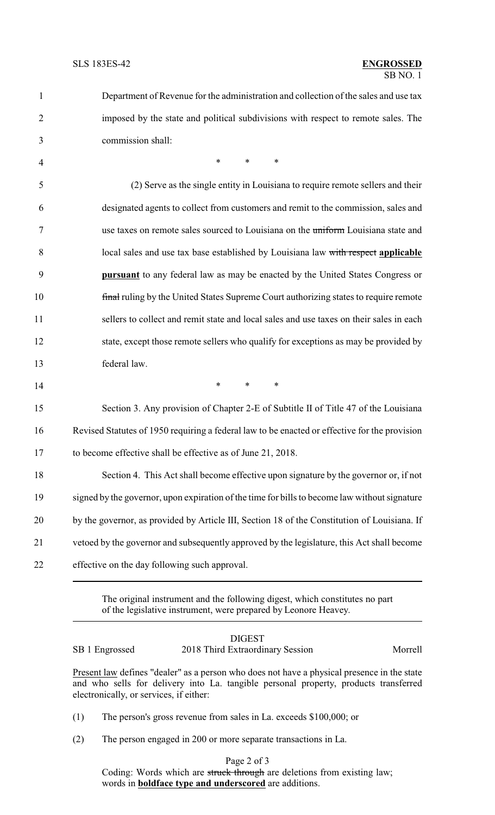| $\mathbf{1}$   | Department of Revenue for the administration and collection of the sales and use tax          |
|----------------|-----------------------------------------------------------------------------------------------|
| $\overline{2}$ | imposed by the state and political subdivisions with respect to remote sales. The             |
| 3              | commission shall:                                                                             |
| $\overline{4}$ | $*$<br>$\ast$<br>$\ast$                                                                       |
| 5              | (2) Serve as the single entity in Louisiana to require remote sellers and their               |
| 6              | designated agents to collect from customers and remit to the commission, sales and            |
| 7              | use taxes on remote sales sourced to Louisiana on the uniform Louisiana state and             |
| 8              | local sales and use tax base established by Louisiana law with respect applicable             |
| 9              | pursuant to any federal law as may be enacted by the United States Congress or                |
| 10             | final ruling by the United States Supreme Court authorizing states to require remote          |
| 11             | sellers to collect and remit state and local sales and use taxes on their sales in each       |
| 12             | state, except those remote sellers who qualify for exceptions as may be provided by           |
| 13             | federal law.                                                                                  |
| 14             | $\ast$<br>$\ast$<br>$\ast$                                                                    |
| 15             | Section 3. Any provision of Chapter 2-E of Subtitle II of Title 47 of the Louisiana           |
| 16             | Revised Statutes of 1950 requiring a federal law to be enacted or effective for the provision |
| 17             | to become effective shall be effective as of June 21, 2018.                                   |
| 18             | Section 4. This Act shall become effective upon signature by the governor or, if not          |
| 19             | signed by the governor, upon expiration of the time for bills to become law without signature |
| 20             | by the governor, as provided by Article III, Section 18 of the Constitution of Louisiana. If  |
| 21             | vetoed by the governor and subsequently approved by the legislature, this Act shall become    |
| 22             | effective on the day following such approval.                                                 |
|                |                                                                                               |

The original instrument and the following digest, which constitutes no part of the legislative instrument, were prepared by Leonore Heavey.

## DIGEST SB 1 Engrossed 2018 Third Extraordinary Session Morrell

Present law defines "dealer" as a person who does not have a physical presence in the state and who sells for delivery into La. tangible personal property, products transferred electronically, or services, if either:

(1) The person's gross revenue from sales in La. exceeds \$100,000; or

(2) The person engaged in 200 or more separate transactions in La.

Page 2 of 3

Coding: Words which are struck through are deletions from existing law; words in **boldface type and underscored** are additions.